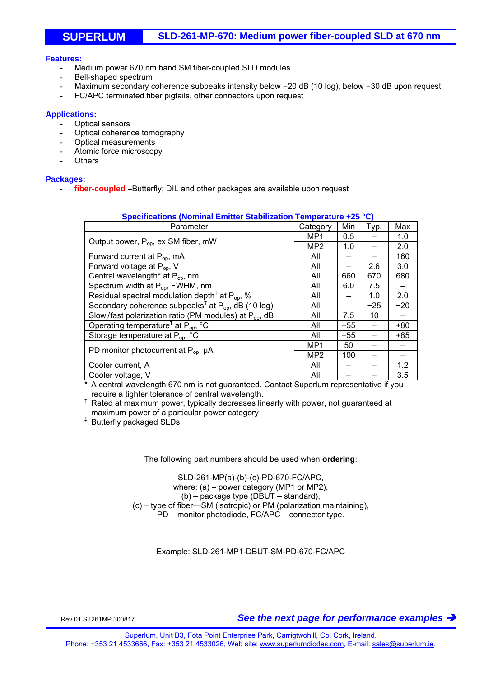## **Features:**

- Medium power 670 nm band SM fiber-coupled SLD modules
- Bell-shaped spectrum
- Maximum secondary coherence subpeaks intensity below −20 dB (10 log), below −30 dB upon request
- FC/APC terminated fiber pigtails, other connectors upon request

## **Applications:**

- Optical sensors
- Optical coherence tomography
- Optical measurements
- Atomic force microscopy
- **Others**

## **Packages:**

- **fiber-coupled –**Butterfly; DIL and other packages are available upon request

| Specifications (Nominal Emitter Stabilization Temperature +25 °C)   |                 |       |       |       |
|---------------------------------------------------------------------|-----------------|-------|-------|-------|
| Parameter                                                           | Category        | Min   | Typ.  | Max   |
| Output power, $P_{op}$ , ex SM fiber, mW                            | MP1             | 0.5   |       | 1.0   |
|                                                                     | MP <sub>2</sub> | 1.0   |       | 2.0   |
| Forward current at $P_{op}$ , mA                                    | All             |       |       | 160   |
| Forward voltage at $P_{op}$ , V                                     | All             |       | 2.6   | 3.0   |
| Central wavelength* at P <sub>op</sub> , nm                         | All             | 660   | 670   | 680   |
| Spectrum width at P <sub>op</sub> , FWHM, nm                        | All             | 6.0   | 7.5   |       |
| Residual spectral modulation depth <sup>†</sup> at $P_{op}$ , %     | All             |       | 1.0   | 2.0   |
| Secondary coherence subpeaks <sup>†</sup> at $P_{op}$ , dB (10 log) | All             |       | $-25$ | $-20$ |
| Slow/fast polarization ratio (PM modules) at $P_{\text{on}}$ , dB   | All             | 7.5   | 10    |       |
| Operating temperature <sup>‡</sup> at P <sub>op</sub> , °C          | All             | $-55$ |       | $+80$ |
| Storage temperature at P <sub>op</sub> , °C                         | All             | -55   |       | $+85$ |
| PD monitor photocurrent at $P_{op}$ , µA                            | MP1             | 50    |       |       |
|                                                                     | MP <sub>2</sub> | 100   |       |       |
| Cooler current, A                                                   | All             |       |       | 1.2   |
| Cooler voltage, V                                                   | All             |       |       | 3.5   |

\* A central wavelength 670 nm is not guaranteed. Contact Superlum representative if you require a tighter tolerance of central wavelength.

 $<sup>†</sup>$  Rated at maximum power, typically decreases linearly with power, not guaranteed at</sup> maximum power of a particular power category<br>
<sup>‡</sup> Butterfly packaged SLDs

The following part numbers should be used when **ordering**:

SLD-261-MP(a)-(b)-(c)-PD-670-FC/APC, where: (a) – power category (MP1 or MP2), (b) – package type (DBUT – standard), (c) – type of fiber—SM (isotropic) or PM (polarization maintaining), PD – monitor photodiode, FC/APC – connector type.

Example: SLD-261-MP1-DBUT-SM-PD-670-FC/APC

Rev.01.ST261MP.300817 *See the next page for performance examples*